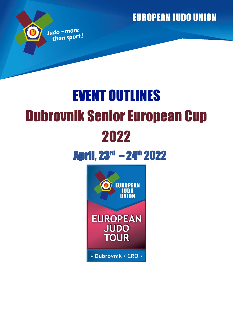**EUROPEAN JUDO UNION** 

# EVENT OUTLINES Dubrovnik Senior European Cup 2022

Judo-more than sport!

## **April, 23<sup>rd</sup> – 24<sup>th</sup> 2022**

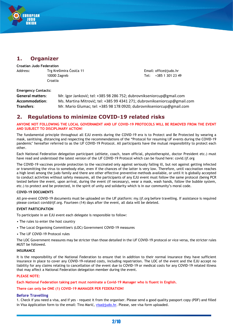

## **1. Organizer**

**Croatian Judo Federation**  Address: Trg Krešimira Ćosića 11 **Address:** Email: office@judo.hr Croatia

10000 Zagreb Tel: +385 1 301 23 49

#### **Emergency Contacts:**

| <b>General matters:</b> | Mr. Igor Janković; tel: +385 98 286 752; dubrovnikseniorcup@gmail.com     |
|-------------------------|---------------------------------------------------------------------------|
| Accommodation:          | Ms. Martina Mitrović; tel: +385 99 4341 271; dubrovnikseniorcup@gmail.com |
| <b>Transfers:</b>       | Mr. Mario Glumac; tel: +385 98 178 0920; dubrovnikseniorcup@gmail.com     |

## **2. Regulations to minimize COVID-19 related risks**

#### **ANYONE NOT FOLLOWING THE LOCAL GOVERNMENT AND IJF COVID-19 PROTOCOLS WILL BE REMOVED FROM THE EVENT AND SUBJECT TO DISCIPLINARY ACTION!**

The fundamental principle throughout all EJU events during the COVID-19 era is to Protect and Be Protected by wearing a mask, sanitising, distancing and respecting the recommendations of the "Protocol for resuming IJF events during the COVID-19 pandemic" hereafter referred to as the IJF COVID-19 Protocol. All participants have the mutual responsibility to protect each other.

Each National Federation delegation participant (athlete, coach, team official, physiotherapist, doctor President etc.) must have read and understood the latest version of the IJF COVID-19 Protocol which can be found here: covid.ijf.org

The COVID-19 vaccines provide protection to the vaccinated only against seriously falling ill, but not against getting infected or transmitting the virus to somebody else, even if the chances of the latter is very low. Therefore, until vaccination reaches a high level among the judo family and there are other effective preventive methods available, or until it is globally accepted to conduct activities without safety measures, all the participants of any EJU event must follow the same protocol (being PCR tested before the event, upon arrival, during the event (if necessary), wear a mask, wash hands, follow the bubble system, etc.) to protect and be protected, in the spirit of unity and solidarity which is in our community's moral code.

#### **COVID-19 DOCUMENTS**

All pre-event COVID-19 documents must be uploaded on the IJF platform: my.ijf.org before travelling. If assistance is required please contact covid@ijf.org. Fourteen (14) days after the event, all data will be deleted.

#### **EVENT PARTICIPATION**

To participate in an EJU event each delegate is responsible to follow:

- The rules to enter the host country
- The Local Organising Committee's (LOC) Government COVID-19 measures
- The IJF COVID-19 Protocol rules

The LOC Government measures may be stricter than those detailed in the IJF COVID-19 protocol or vice versa, the stricter rules MUST be followed.

#### **INSURANCE**

It is the responsibility of the National Federation to ensure that in addition to their normal insurance they have sufficient insurance in place to cover any COVID-19-related costs, including repatriation. The LOC of the event and the EJU accept no liability for any claims relating to cancellation of the event due to COVID-19 or medical costs for any COVID-19 related illness that may affect a National Federation delegation member during the event.

#### **PLEASE NOTE:**

**Each National Federation taking part must nominate a Covid-19 Manager who is fluent in English.**

**There can only be ONE (1) COVID-19 MANAGER PER FEDERATION!**

#### **Before Travelling**

1. Check if you need a visa, and if yes - request it from the organiser. Please send a good quality passport copy (PDF) and filled in Visa Application form to the email: Tino Marić, [visa@judo.hr.](mailto:visa@judo.hr) Please, see visa form uploaded.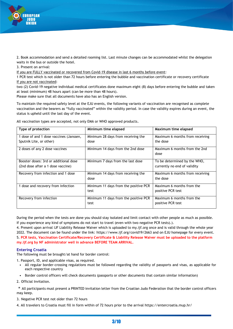

2. Book accommodation and send a detailed rooming list. Last minute changes can be accommodated whilst the delegation waits in the bus or outside the hotel.

3. Present on arrival:

If you are FULLY vaccinated or recovered from Covid-19 disease in last 6 months before event:

1 PCR test which is not older than 72 hours before entering the bubble and vaccination certificate or recovery certificate If you are not vaccinated:

two (2) Covid-19 negative individual medical certificates done maximum eight (8) days before entering the bubble and taken at least (minimum) 48 hours apart (can be more than 48 hours).

Please make sure that all documents have also has an English version.

To maintain the required safety level at the EJU events, the following variants of vaccination are recognised as complete vaccination and the bearers as "fully vaccinated" within the validity period. In case the validity expires during an event, the status is upheld until the last day of the event.

| Type of protection                      | Minimum time elapsed                  | Maximum time elapsed            |
|-----------------------------------------|---------------------------------------|---------------------------------|
| 1 dose of and 1 dose vaccines (Janssen, | Minimum 28 days from receiving the    | Maximum 6 months from receiving |
| Sputnik Lite, or other)                 | dose                                  | the dose                        |
| 2 doses of any 2 dose vaccines          | Minimum 14 days from the 2nd dose     | Maximum 6 months from the 2nd   |
|                                         |                                       | dose                            |
| Booster doses: 3rd or additional dose   | Minimum 7 days from the last dose     | To be determined by the WHO,    |
| (2nd dose after a 1 dose vaccine)       |                                       | currently no end of validity    |
| Recovery from infection and 1 dose      | Minimum 14 days from receiving the    | Maximum 6 months from receiving |
|                                         | dose                                  | the dose                        |
| 1 dose and recovery from infection      | Minimum 11 days from the positive PCR | Maximum 6 months from the       |
|                                         | test                                  | positive PCR test               |
| Recovery from infection                 | Minimum 11 days from the positive PCR | Maximum 6 months from the       |
|                                         | test                                  | positive PCR test               |

All vaccination types are accepted, not only EMA or WHO approved products.

During the period when the tests are done you should stay isolated and limit contact with other people as much as possible. If you experience any kind of symptoms do not start to travel (even with two negative PCR tests).).

4. Present upon arrival IJF Liability Release Waiver which is uploaded to my.ijf.org once and is valid through the whole year 2022. The document can be found under the link: https://www.ijf.org/covid19/2663 and on EJU homepage for every event. 5. **PCR tests, Vaccination Certificate/Recovery Certificate & Liability Release Waiver must be uploaded to the platform my.ijf.org by NF administrator well in advance BEFORE TEAM ARRIVAL.**

#### **Entering Croatia**

The following must be brought/at hand for border control:

1. Passport, ID, and applicable visas, as required.

- All regular border-crossing regulations must be followed regarding the validity of passports and visas, as applicable for each respective country
- Border control officers will check documents (passports or other documents that contain similar information)
- 2. Official Invitation.

\* All participants must present a PRINTED invitation letter from the Croatian Judo Federation that the border control officers may keep.

- 3. Negative PCR test not older than 72 hours
- 4. All travelers to Croatia must fill in form within of 72 hours prior to the arrival https://entercroatia.mup.hr/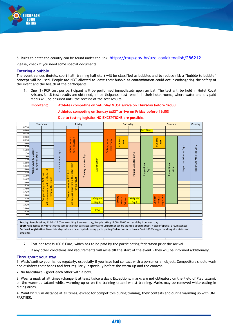

5. Rules to enter the country can be found under the link: <https://mup.gov.hr/uzg-covid/english/286212>

Please, check if you need some special documents.

#### **Entering a bubble**

The event venues (hotels, sport hall, training hall etc.) will be classified as bubbles and to reduce risk a "bubble to bubble" concept will be used. People are NOT allowed to leave their bubble as contamination could occur endangering the safety of the event and the health of the participants.

1. One (1) PCR test per participant will be performed immediately upon arrival. The test will be held in Hotel Royal Ariston. Until test results are obtained, all participants must remain in their hotel rooms, where water and any paid meals will be ensured until the receipt of the test results.

#### **Important: Athletes competing on Saturday MUST arrive on Thursday before 16:00.**

#### **Athletes competing on Sunday MUST arrive on Friday before 16:00!**

#### Monday 07:30 08:00 **Ref. Meet.** In the set of the set of the set of the set of the set of the set of the set of the set of th 08:30  $09.0$ 09:30 10:0 10:30 11:00 11:30 12:00 12:30 13:00  $13.30$  $14:00$ 14:30 15:00  $15.3$  $16:0$ 16:30 17:00 17:30 18:0  $18.30$ 19:00  $19.30$ 20:0  $20.30$ (1976)<br>
(1979)<br>
(1979)<br>
(1980)<br>
(1980)<br>
(1980)<br>
(1980)<br>
(1980)<br>
(1980)<br>
(1980)<br>
(1980)<br>
(1980)<br>
(1980)<br>
(1980)<br>
(1980)<br>
(1980)<br>
(1980)<br>
(1980)<br>
(1980)<br>
(1980)<br>
(1980)<br>
(1980)<br>
(1980)<br>
(1980)<br>
(1980)<br>
(1980)<br>
(1980)<br>
(1980 Thursday **Contract Contract Contract Priday Draw** leigh-Day 1 Weigh-in Particular Fraining (Athletes Day 2)<br>
Competition<br>
Pelivery<br>
Pelivery<br>
Day 1<br>
Competition<br>
Day 2<br>
Day 2<br>
Day 2<br>
Departure Athletes Day 1<br>
Departure Athletes Day 1<br>
Departure Athletes Day 1 **Saturday** el room<br>
18 (Athletes Day 1)<br>
18 (Athletes Day 1)<br>
18 (Athletes Day 2)<br>
18 (Athletes Day 2)<br>
20 (Departure Athletes Day 2)<br>
20 (Departure Athletes Day 1)<br>
20 (Departure Athletes Day 1)<br>
20 (Departure Athletes Day 1) Sunday Competition<br>Day 2 results<br>
Delivery results Delivery results Departure PCR Exit-<br>
Delivery Day 1<br>
Delivery Day 1<br>
Delivery Day 1<br>
Departure Day 1<br>
Departure Day 1 **Testing**: Sample taking 14:00 - 17:00 - -> result by 8 am next day, Sample taking 17:00 - 20:00 - -> result by 1 pm next day **Sport hall**: access only for athletes competing that day (access for warm-up partner can be granted upon request in case of special circumstances)

#### **Due to testing logistics NO EXCEPTIONS are possible.**

**Entries & registration**: No entries by clubs can be accepted - every participating Federation must have a Covid-19 Manager handling all entries and bookings!

- 2. Cost per test is 100  $\epsilon$  Euro, which has to be paid by the participating federation prior the arrival.
- 3. If any other conditions and requirements will arise till the start of the event they will be informed additionally.

#### **Throughout your stay**

1. Wash/sanitise your hands regularly, especially if you have had contact with a person or an object. Competitors should wash and disinfect their hands and feet regularly, especially before the warm-up and the contest.

2. No handshake - greet each other with a bow.

3. Wear a mask at all times (change it at least twice a day). Exceptions: masks are not obligatory on the Field of Play tatami, on the warm-up tatami whilst warming up or on the training tatami whilst training. Masks may be removed while eating in dining areas.

4. Maintain 1.5 m distance at all times, except for competitors during training, their contests and during warming up with ONE PARTNER.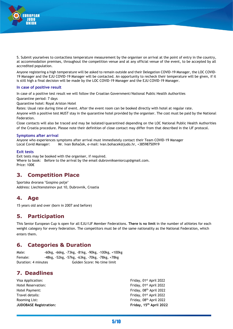

5. Submit yourselves to contactless temperature measurement by the organiser on arrival at the point of entry in the country, at accommodation premises, throughout the competition venue and at any official venue of the event, to be accepted by all accredited population.

Anyone registering a high temperature will be asked to remain outside and their Delegation COVID-19 Manager, the LOC COVID-19 Manager and the EJU COVID-19 Manager will be contacted. An opportunity to recheck their temperature will be given, if it is still high a final decision will be made by the LOC COVID-19 Manager and the EJU COVID-19 Manager.

#### **In case of positive result**

In case of a positive test result we will follow the Croatian Government/National Public Health Authorities

Quarantine period: 7 days

Quarantine hotel: Royal Ariston Hotel

Rates: Usual rate during time of event. After the event room can be booked directly with hotel at regular rate.

Anyone with a positive test MUST stay in the quarantine hotel provided by the organiser. The cost must be paid by the National Federation.

Close contacts will also be traced and may be isolated/quarantined depending on the LOC National Public Health Authorities of the Croatia procedure. Please note their definition of close contact may differ from that described in the IJF protocol.

#### **Symptoms after arrival**

Anyone who experiences symptoms after arrival must immediately contact their Team COVID-19 Manager Local Covid Manager: Mr. Ivan Bohaček, e-mail: ivan.bohacek@judo.hr, +38598750919

#### **Exit tests**

Exit tests may be booked with the organiser, if required. Where to book: Before to the arrival by the email dubrovnikseniorcup@gmail.com. Price: 100€

### **3. Competition Place**

Sportska dvorana "Gospino polje" Address: Liechtensteinov put 10, Dubrovnik, Croatia

## **4. Age**

15 years old and over (born in 2007 and before)

## **5. Participation**

This Senior European Cup is open for all EJU/IJF Member Federations. **There is no limit** in the number of athletes for each weight category for every federation. The competitors must be of the same nationality as the National Federation, which enters them.

### **6. Categories & Duration**

Male: -60kg, -66kg, -73kg, -81kg, -90kg, -100kg, +100kg Female: -48kg, -52kg, -57kg, -63kg, -70kg, -78kg, +78kg Duration: 4 minutes Golden Score: No time limit

## **7. Deadlines**

Hotel Reservation: Entry and the Secret Apple of the Secret April 2022 Friday, 01st April 2022 Hotel Payment: Travel details: Rooming List: **JUDOBASE Registration:** 

Visa Application: The Contraction of the Contraction of the Contraction of the Friday, 01st April 2022 Friday, 08th April 2022 Friday, 01st April 2022 Friday, 08th April 2022 **th April 2022**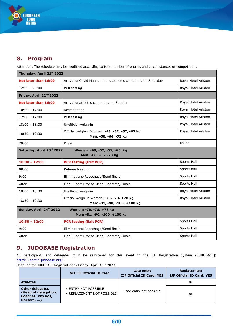

## **8. Program**

Attention: The schedule may be modified according to total number of entries and circumstances of competition.

| Thursday, April 21st 2022                                                           |                                                                           |                     |
|-------------------------------------------------------------------------------------|---------------------------------------------------------------------------|---------------------|
| Not later than 16:00                                                                | Arrival of Covid Managers and athletes competing on Saturday              | Royal Hotel Ariston |
| $12:00 - 20:00$                                                                     | PCR testing                                                               | Royal Hotel Ariston |
| Friday, April 22nd 2022                                                             |                                                                           |                     |
| Not later than 16:00                                                                | Arrival of athletes competing on Sunday                                   | Royal Hotel Ariston |
| $10:00 - 17:00$                                                                     | Accreditation                                                             | Royal Hotel Ariston |
| $12:00 - 17:00$                                                                     | PCR testing                                                               | Royal Hotel Ariston |
| $18:00 - 18:30$                                                                     | Unofficial weigh-in                                                       | Royal Hotel Ariston |
| $18:30 - 19:30$                                                                     | Official weigh-in Women: -48, -52, -57, -63 kg<br>Men: -60, -66, -73 kg   | Royal Hotel Ariston |
| 20:00                                                                               | Draw                                                                      | online              |
| Saturday, April 23rd 2022<br>Women: -48, -52, -57, -63, kg<br>Men: -60, -66, -73 kg |                                                                           |                     |
| $10:30 - 12:00$                                                                     | <b>PCR testing (Exit PCR)</b>                                             | Sports Hall         |
| 08:00                                                                               | Referee Meeting                                                           | Sports hall         |
| 9:00                                                                                | Eliminations/Repechage/Semi finals                                        | Sports Hall         |
| After                                                                               | Final Block: Bronze Medal Contests, Finals                                | Sports Hall         |
| $18:00 - 18:30$                                                                     | Unofficial weigh-in                                                       | Royal Hotel Ariston |
| $18:30 - 19:30$                                                                     | Official weigh-in Women: -70, -78, +78 kg<br>Men: -81, -90, -100, +100 kg | Royal Hotel Ariston |
| Sunday, April 24th 2022<br>Women: -70, -78, +78 kg<br>Men: -81, -90, -100, +100 kg  |                                                                           |                     |
| $10:30 - 12:00$                                                                     | <b>PCR testing (Exit PCR)</b>                                             | Sports Hall         |
| 9:00                                                                                | Eliminations/Repechage/Semi finals                                        | Sports Hall         |
| After                                                                               | Final Block: Bronze Medal Contests, Finals                                | Sports Hall         |

## **9. JUDOBASE Registration**

All participants and delegates must be registered for this event in the IJF Registration System (**JUDOBASE)**: <https://admin.judobase.org/> .

Deadline for JUDOBASE Registration is **Friday, April 15 th 2022**

|                                                                                          | <b>NO IJF Official ID Card</b>                     | Late entry<br><b>IJF Official ID Card: YES</b> | Replacement<br><b>IJF Official ID Card: YES</b> |
|------------------------------------------------------------------------------------------|----------------------------------------------------|------------------------------------------------|-------------------------------------------------|
| <b>Athletes</b>                                                                          |                                                    |                                                | 0€                                              |
| <b>Other delegates</b><br>(Head of delegation,<br><b>Coaches, Physios,</b><br>Doctors, ) | • ENTRY NOT POSSIBLE<br>• REPLACEMENT NOT POSSIBLE | Late entry not possible                        | 0€                                              |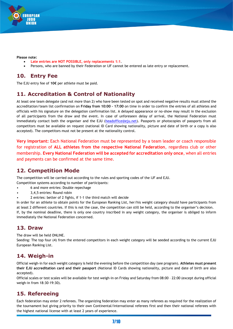

#### **Please note:**

- **Late entries are NOT POSSIBLE, only replacements 1:1**.
- Persons, who are banned by their Federation or IJF cannot be entered as late entry or replacement.

## **10. Entry Fee**

The EJU entry fee of **10€** per athlete must be paid.

## **11. Accreditation & Control of Nationality**

At least one team delegate (and not more than 2) who have been tested on spot and received negative results must attend the accreditation/team list confirmation on **Friday from 10:00 – 17:00** on time in order to confirm the entries of all athletes and officials with his signature on the delegation confirmation list. A delayed appearance or no-show may result in the exclusion of all participants from the draw and the event. In case of unforeseen delay of arrival, the National Federation must immediately contact both the organiser and the EJU [\(headoffice@eju.net\)](mailto:headoffice@eju.net). Passports or photocopies of passports from all competitors must be available on request (national ID Card showing nationality, picture and date of birth or a copy is also accepted). The competitors must not be present at the nationality control.

**Very important:** Each National Federation must be represented by a team leader or coach responsible for registration of **ALL athletes from the respective National Federation**, regardless club or other membership. **Every National Federation will be accepted for accreditation only once**, when all entries and payments can be confirmed at the same time.

## **12. Competition Mode**

The competition will be carried out according to the rules and sporting codes of the IJF and EJU.

Competition systems according to number of participants:

- 6 and more entries: Double repechage
- 3,4,5 entries: Round robin
- 2 entries: better of 2 fights, if 1-1 the third match will decide

In order for an athlete to obtain points for the European Ranking List, her/his weight category should have participants from at least 2 different countries. If this is not the case, the competition can still be held, according to the organiser's decision. If, by the nominal deadline, there is only one country inscribed in any weight category, the organiser is obliged to inform immediately the National Federation concerned.

## **13. Draw**

The draw will be held ONLINE.

Seeding: The top four (4) from the entered competitors in each weight category will be seeded according to the current EJU European Ranking List.

## **14. Weigh-in**

Official weigh-in for each weight category is held the evening before the competition day (see program). **Athletes must present their EJU accreditation card and their passport** (National ID Cards showing nationality, picture and date of birth are also accepted).

Official scales or test scales will be available for test weigh-in on Friday and Saturday from 08:00 – 22:00 (except during official weigh-in from 18:30-19:30).

## **15. Refereeing**

Each federation may enter 2 referees. The organizing federation may enter as many referees as required for the realization of the tournament but giving priority to their own Continental/International referees first and then their national referees with the highest national license with at least 2 years of experience.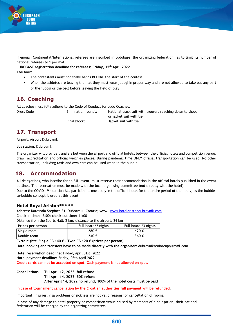

If enough Continental/International referees are inscribed in Judobase, the organizing federation has to limit its number of national referees to 1 per mat.

**JUDOBASE registration deadline for referees: Friday, 15 th April 2022**

**The bow:**

- The contestants must not shake hands BEFORE the start of the contest.
- When the athletes are leaving the mat they must wear judogi in proper way and are not allowed to take out any part of the judogi or the belt before leaving the field of play.

## **16. Coaching**

All coaches must fully adhere to the Code of Conduct for Judo Coaches.

Dress Code Elimination rounds: National track suit with trousers reaching down to shoes or jacket suit with tie Final block: Jacket suit with tie

## **17. Transport**

Airport: Airport Dubrovnik

Bus station: Dubrovnik

The organizer will provide transfers between the airport and official hotels, between the official hotels and competition venue, draw, accreditation and official weigh-in places. During pandemic time ONLY official transportation can be used. No other transportation, including taxis and own cars can be used when in the bubble.

## **18. Accommodation**

All delegations, who inscribe for an EJU event, must reserve their accommodation in the official hotels published in the event outlines. The reservation must be made with the local organising committee (not directly with the hotel). Due to the COVID-19 situation ALL participants must stay in the official hotel for the entire period of their stay, as the bubbleto-bubble concept is used at this event.

#### **Hotel Royal Ariston\*\*\*\*\***

Address: Kardinala Stepinca 31, Dubrovnik, Croatia; www. [www.hotelaristondubrovnik.com](http://www.hotelaristondubrovnik.com/) Check-in time: 15:00; check-out time: 11:00

Distance from the Sports Hall: 2 km; distance to the airport: 24 km

| Prices per person | Full board/2 nights | Full board /3 nights |
|-------------------|---------------------|----------------------|
| Single room       | 280€                | 420 €                |
| Double room       | 240€                | 360€                 |

**Extra nights: Single FB 140 € - Twin FB 120 € (prices per person)**

**Hotel booking and transfers have to be made directly with the organiser:** dubrovnikseniorcup@gmail.com

**Hotel reservation deadline:** Friday**,** April 01st, 2022 **Hotel payment deadline:** Friday, 08th April 2022 **Credit cards can not be accepted on spot. Cash payment is not allowed on spot.**

**Cancellations Till April 12, 2022: full refund Till April 14, 2022: 50% refund After April 14, 2022 no refund, 100% of the hotel costs must be paid**

**In case of tournament cancellation by the Croatian authorities full payment will be refunded**.

Important: Injuries, visa problems or sickness are not valid reasons for cancellation of rooms.

In case of any damage to hotel property or competition venue caused by members of a delegation, their national federation will be charged by the organizing committee.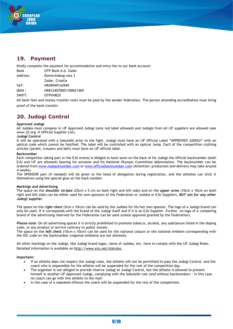

## **19. Payment**

Kindly complete the payment for accommodation and entry fee to our bank account:

| Bank     | OTP Bank d.d. Zadar   |
|----------|-----------------------|
| Address: | Domovinskog rata 3    |
|          | Zadar, Croatia        |
| VAT.     | HR49949143949         |
| IBAN:    | HR8124070001100021469 |

SWIFT: OTPVHR2X

All bank fees and money transfer costs must be paid by the sender federation. The person attending accreditation must bring proof of the bank transfer.

## **20. Judogi Control**

#### **Approved Judogi**

All Judoka must compete in IJF Approved Judogi (only red label allowed) and Judogis from all IJF suppliers are allowed (see www.ijf.org  $\rightarrow$  Official Supplier List).

#### **Judogi Control**

It will be operated with a Sokuteiki prior to the fight. Judogi must have an IJF Official Label "APPROVED JUDOGI" with an optical code which cannot be falsified. The label will be controlled with an optical lamp. Each of the competition clothing articles (jacket, trousers and belt) must have an IJF official label.

#### **Backnumber**

Each competitor taking part in the EJU events is obliged to have sewn on the back of his Judogi the official backnumber (both EJU and IJF are allowed) bearing his surname and his National Olympic Committee abbreviation. The backnumber can be ordered from [www.mybacknumber.com](http://www.mybacknumber.com/) or [www.officialbacknumber.com](http://www.officialbacknumber.com/) (Attention: production and delivery may take around 4 weeks).

The SPONSOR part (if needed) will be given to the head of delegation during registration, and the athletes can stick it themselves using the special glue on the back number.

#### **Markings and Advertising**

The space on the *shoulder stripes* (25cm x 5 cm on both right and left side) and on the *upper arms* (10cm x 10cm on both right and left side) can be either used for own sponsors of the Federation or Judoka or EJU Suppliers, *BUT not for any other Judogi supplier*.

The space on the *right chest* (5cm x 10cm) can be used by the Judoka for his/her own sponsor. The logo of a Judogi brand can only be used, if it corresponds with the brand of the Judogi itself and if it is an EJU Supplier. Further, no logo of a competing brand of the advertising reserved for the Federation can be used (unless approval granted by the Federation).

*Please note*: On all advertising spaces it is strictly prohibited to promote tobacco, alcohol, any substances listed in the doping code, or any product or service contrary to public morals.

The space on the *left chest* (10cm x 10cm) can be used for the national colours or the national emblem corresponding with the IOC code on the backnumber (regional emblems are not allowed).

All other markings on the Judogi, like Judogi brand logos, name of Judoka, etc. have to comply with the IJF Judogi Rules. Detailed information is available on<http://www.eju.net/statutes>.

#### **Important:**

- If an athlete does not respect the Judogi rules, the athlete will not be permitted to pass the Judogi Control, and the coach who is responsible for the athlete will be suspended for the rest of the competition day.
- The organiser is not obliged to provide reserve Judogi at Judogi Control, but the athlete is allowed to present himself in another IJF Approved Judogi, complying with the Sokuteiki rule (and without backnumber) - in this case no coach can go with this athlete to the mat!
- In the case of a repeated offence the coach will be suspended for the rest of the competition.